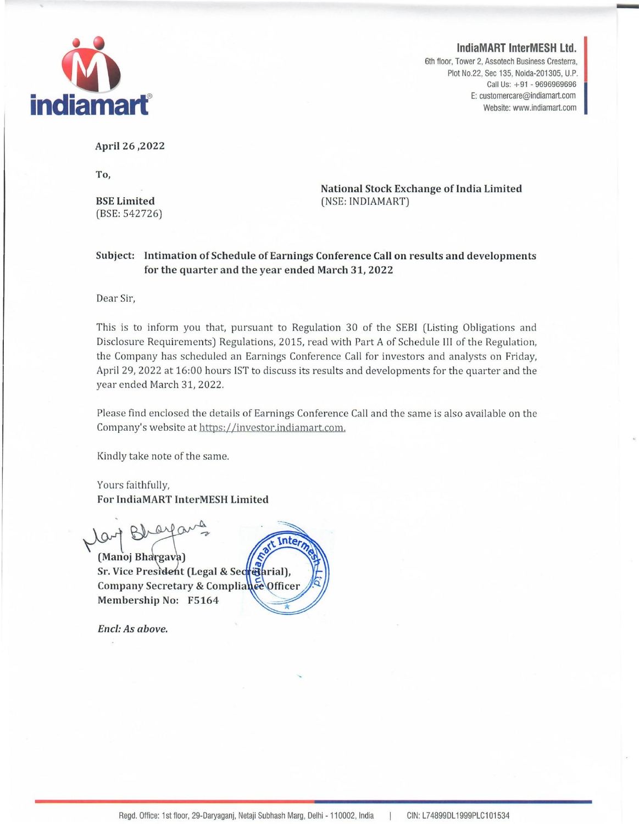#### IndiaMART InterMESH Ltd.





April 26,2022

To,

BSE Limited (BSE: 542726) National Stock Exchange of India Limited (NSE: INDIAMART)

#### Subject: Intimation of Schedule of Earnings Conference Call on results and developments for the quarter and the year ended March 31, 2022

Dear Sir,

This is to inform you that, pursuant to Regulation 30 of the SEBI (Listing Obligations and Disclosure Requirements) Regulations, 2015, read with Part A of Schedule III of the Regulation, the Company has scheduled an Earnings Conference Call for investors and analysts on Friday, April 29, 2022 at 16:00 hours 1ST to discuss its results and developments for the quarter and the year ended March 31, 2022.

Please find enclosed the details of Earnings Conference Call and the same is also available on the Company's website at https://investor.indiamart.com.

inte,

Kindly take note of the same.

Yours faithfully, For India MART InterMESH Limited

aut Blaya

Sr. Vice President (Legal & Secretarial), Company Secretary & Compliance Office Membership No: F5164

*End: As above.*